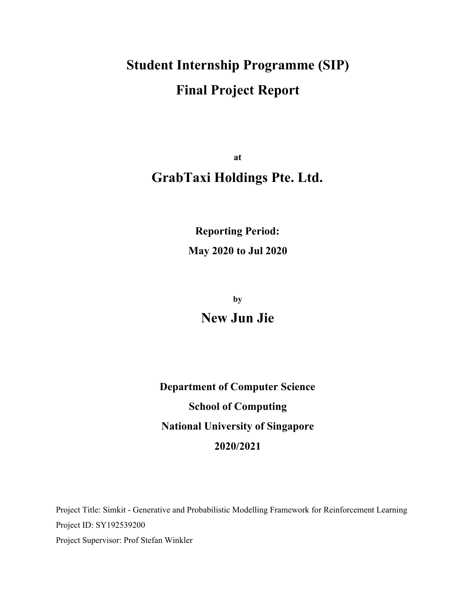# **Student Internship Programme (SIP) Final Project Report**

**at GrabTaxi Holdings Pte. Ltd.**

> **Reporting Period: May 2020 to Jul 2020**

> > **by New Jun Jie**

**Department of Computer Science School of Computing National University of Singapore 2020/2021**

Project Title: Simkit - Generative and Probabilistic Modelling Framework for Reinforcement Learning Project ID: SY192539200 Project Supervisor: Prof Stefan Winkler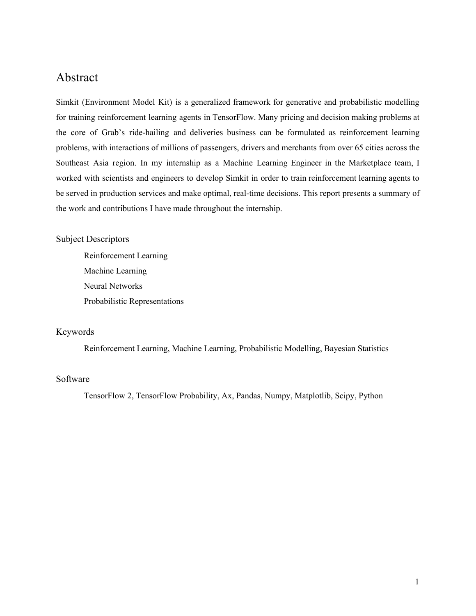# <span id="page-1-0"></span>Abstract

Simkit (Environment Model Kit) is a generalized framework for generative and probabilistic modelling for training reinforcement learning agents in TensorFlow. Many pricing and decision making problems at the core of Grab's ride-hailing and deliveries business can be formulated as reinforcement learning problems, with interactions of millions of passengers, drivers and merchants from over 65 cities across the Southeast Asia region. In my internship as a Machine Learning Engineer in the Marketplace team, I worked with scientists and engineers to develop Simkit in order to train reinforcement learning agents to be served in production services and make optimal, real-time decisions. This report presents a summary of the work and contributions I have made throughout the internship.

#### Subject Descriptors

Reinforcement Learning Machine Learning Neural Networks Probabilistic Representations

#### Keywords

Reinforcement Learning, Machine Learning, Probabilistic Modelling, Bayesian Statistics

#### Software

TensorFlow 2, TensorFlow Probability, Ax, Pandas, Numpy, Matplotlib, Scipy, Python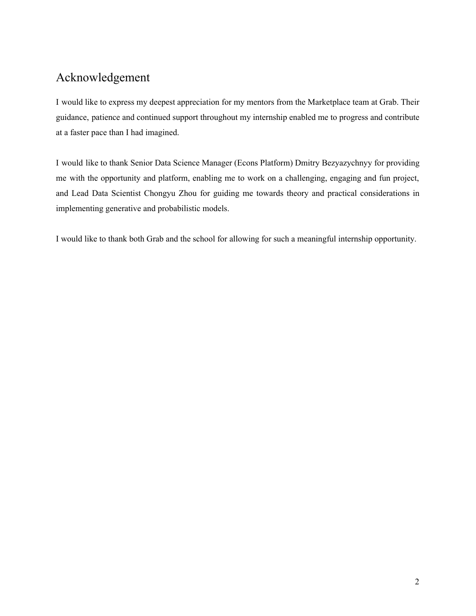# <span id="page-2-0"></span>Acknowledgement

I would like to express my deepest appreciation for my mentors from the Marketplace team at Grab. Their guidance, patience and continued support throughout my internship enabled me to progress and contribute at a faster pace than I had imagined.

I would like to thank Senior Data Science Manager (Econs Platform) Dmitry Bezyazychnyy for providing me with the opportunity and platform, enabling me to work on a challenging, engaging and fun project, and Lead Data Scientist Chongyu Zhou for guiding me towards theory and practical considerations in implementing generative and probabilistic models.

I would like to thank both Grab and the school for allowing for such a meaningful internship opportunity.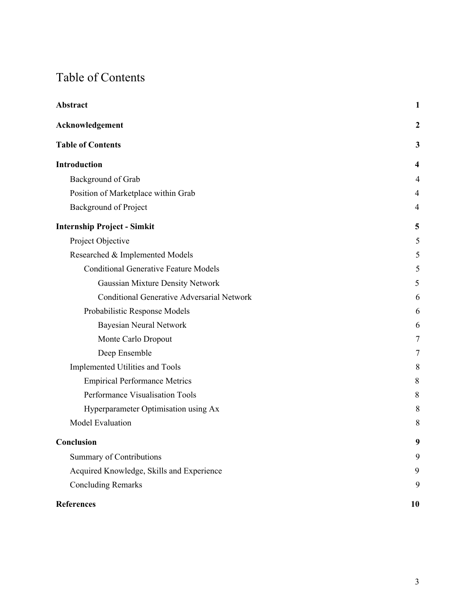# <span id="page-3-0"></span>Table of Contents

| <b>Abstract</b>                                   | $\mathbf{1}$     |
|---------------------------------------------------|------------------|
| Acknowledgement                                   | $\boldsymbol{2}$ |
| <b>Table of Contents</b>                          | 3                |
| Introduction                                      | 4                |
| Background of Grab                                | 4                |
| Position of Marketplace within Grab               | 4                |
| <b>Background of Project</b>                      | 4                |
| <b>Internship Project - Simkit</b>                | 5                |
| Project Objective                                 | 5                |
| Researched & Implemented Models                   | 5                |
| <b>Conditional Generative Feature Models</b>      | 5                |
| Gaussian Mixture Density Network                  | 5                |
| <b>Conditional Generative Adversarial Network</b> | 6                |
| Probabilistic Response Models                     | 6                |
| <b>Bayesian Neural Network</b>                    | 6                |
| Monte Carlo Dropout                               | 7                |
| Deep Ensemble                                     | 7                |
| Implemented Utilities and Tools                   | 8                |
| <b>Empirical Performance Metrics</b>              | 8                |
| Performance Visualisation Tools                   | 8                |
| Hyperparameter Optimisation using Ax              | 8                |
| <b>Model Evaluation</b>                           | 8                |
| Conclusion                                        | 9                |
| <b>Summary of Contributions</b>                   | 9                |
| Acquired Knowledge, Skills and Experience         | 9                |
| <b>Concluding Remarks</b>                         | 9                |
| <b>References</b>                                 | 10               |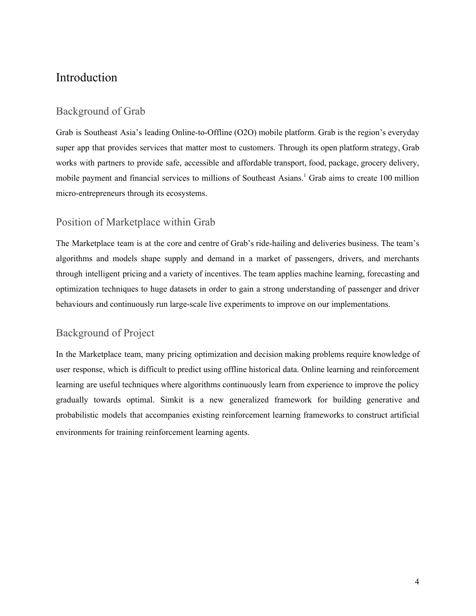# <span id="page-4-0"></span>Introduction

### <span id="page-4-1"></span>Background of Grab

Grab is Southeast Asia's leading Online-to-Offline (O2O) mobile platform. Grab is the region's everyday super app that provides services that matter most to customers. Through its open platform strategy, Grab works with partners to provide safe, accessible and affordable transport, food, package, grocery delivery, mobile payment and financial services to millions of Southeast Asians. <sup>1</sup> Grab aims to create 100 million micro-entrepreneurs through its ecosystems.

# <span id="page-4-2"></span>Position of Marketplace within Grab

The Marketplace team is at the core and centre of Grab's ride-hailing and deliveries business. The team's algorithms and models shape supply and demand in a market of passengers, drivers, and merchants through intelligent pricing and a variety of incentives. The team applies machine learning, forecasting and optimization techniques to huge datasets in order to gain a strong understanding of passenger and driver behaviours and continuously run large-scale live experiments to improve on our implementations.

# <span id="page-4-3"></span>Background of Project

In the Marketplace team, many pricing optimization and decision making problems require knowledge of user response, which is difficult to predict using offline historical data. Online learning and reinforcement learning are useful techniques where algorithms continuously learn from experience to improve the policy gradually towards optimal. Simkit is a new generalized framework for building generative and probabilistic models that accompanies existing reinforcement learning frameworks to construct artificial environments for training reinforcement learning agents.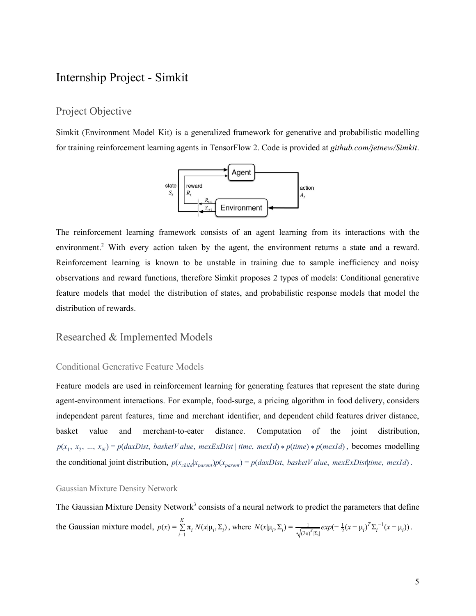# <span id="page-5-0"></span>Internship Project - Simkit

#### <span id="page-5-1"></span>Project Objective

Simkit (Environment Model Kit) is a generalized framework for generative and probabilistic modelling for training reinforcement learning agents in TensorFlow 2. Code is provided at *[github.com/jetnew/Simkit](http://github.com/jetnew/Simkit)*.



The reinforcement learning framework consists of an agent learning from its interactions with the environment.<sup>2</sup> With every action taken by the agent, the environment returns a state and a reward. Reinforcement learning is known to be unstable in training due to sample inefficiency and noisy observations and reward functions, therefore Simkit proposes 2 types of models: Conditional generative feature models that model the distribution of states, and probabilistic response models that model the distribution of rewards.

#### <span id="page-5-2"></span>Researched & Implemented Models

#### <span id="page-5-3"></span>Conditional Generative Feature Models

Feature models are used in reinforcement learning for generating features that represent the state during agent-environment interactions. For example, food-surge, a pricing algorithm in food delivery, considers independent parent features, time and merchant identifier, and dependent child features driver distance, basket value and merchant-to-eater distance. Computation of the joint distribution,  $p(x_1, x_2, ..., x_N) = p(daxDist, basketValue, mexExDist | time, mexId) * p(time) * p(mexId)$ , becomes modelling the conditional joint distribution,  $p(x_{child}|x_{parent})p(x_{parent}) = p(daxDist, basketValue, mexExDist|time, mexId)$ .

#### <span id="page-5-4"></span>Gaussian Mixture Density Network

The Gaussian Mixture Density Network<sup>3</sup> consists of a neural network to predict the parameters that define the Gaussian mixture model,  $p(x) = \sum_{k=1}^{K} \pi_k N(x | \mu_i, \Sigma_i)$ , where  $N(x | \mu_i, \Sigma_i) = \frac{1}{\sqrt{(\mu_i - \Sigma_i)^2}} exp(-\frac{1}{2} (x - \mu_i)^T \Sigma_i^{-1} (x - \mu_i))$ .  $\sum_{i=1}^{\infty} \pi_i N(x | \mu_i, \Sigma_i)$ , where  $N(x | \mu_i, \Sigma_i) = \frac{1}{\sqrt{(2\pi)^K |\Sigma_i|}} exp(-\frac{1}{2}(x - \mu_i)^T \Sigma_i^{-1}(x - \mu_i))$  $\frac{1}{\sqrt{(2\pi)^K |\Sigma_i}} exp(-\frac{1}{2}(x - \mu_i)^T \Sigma_i^{-1} (x - \mu_i))$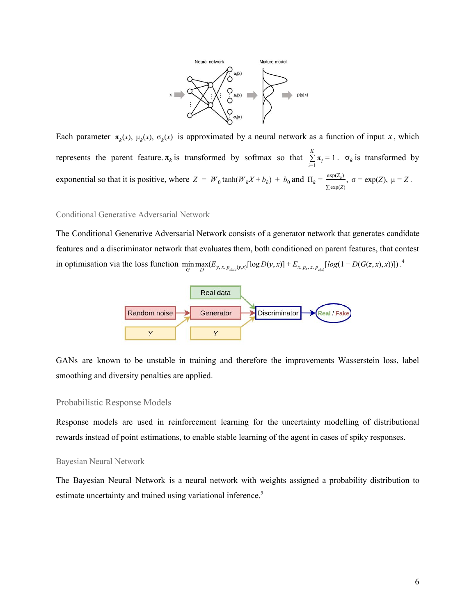

Each parameter  $\pi_k(x)$ ,  $\mu_k(x)$ ,  $\sigma_k(x)$  is approximated by a neural network as a function of input x, which represents the parent feature.  $\pi_k$  is transformed by softmax so that  $\sum_{i=1}^{K} \pi_i = 1$ .  $\sigma_k$  is transformed by  $\sum_{i=1}$   $\pi_i$  = 1 .  $\sigma_k$ exponential so that it is positive, where  $Z = W_0 \tanh(W_h X + b_h) + b_0$  and  $\Pi_k = \frac{\exp(Z_k)}{\exp(Z_k)}$ ,  $\sigma = \exp(Z)$ ,  $\mu = Z$ . ∑ exp(*Z*)  $=$  exp(Z),  $\mu$  = Z

#### <span id="page-6-0"></span>Conditional Generative Adversarial Network

The Conditional Generative Adversarial Network consists of a generator network that generates candidate features and a discriminator network that evaluates them, both conditioned on parent features, that contest in optimisation via the loss function  $\min_{G} \max_{D} (E_{y,x,p_{data}(y,x)}[\log D(y,x)] + E_{x,p_x,z,p_{z(x)}}[log(1 - D(G(z,x),x))])$ .<sup>4</sup>



GANs are known to be unstable in training and therefore the improvements Wasserstein loss, label smoothing and diversity penalties are applied.

#### <span id="page-6-1"></span>Probabilistic Response Models

Response models are used in reinforcement learning for the uncertainty modelling of distributional rewards instead of point estimations, to enable stable learning of the agent in cases of spiky responses.

#### <span id="page-6-2"></span>Bayesian Neural Network

The Bayesian Neural Network is a neural network with weights assigned a probability distribution to estimate uncertainty and trained using variational inference.<sup>5</sup>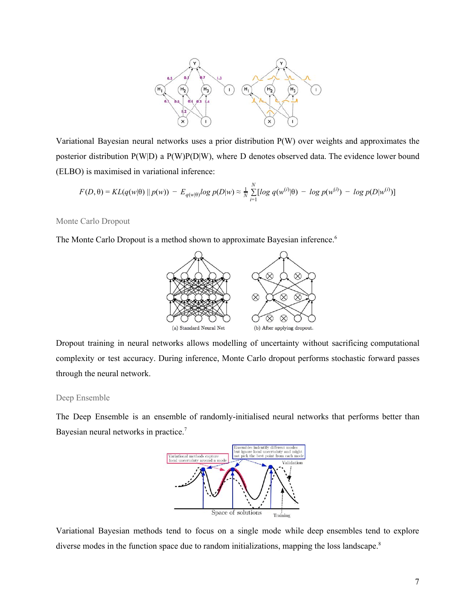

Variational Bayesian neural networks uses a prior distribution P(W) over weights and approximates the posterior distribution P(W|D) a P(W)P(D|W), where D denotes observed data. The evidence lower bound (ELBO) is maximised in variational inference:

$$
F(D, \theta) = KL(q(w|\theta) || p(w)) - E_{q(w|\theta)}log p(D|w) \approx \frac{1}{N} \sum_{i=1}^{N} [log q(w^{(i)}|\theta) - log p(w^{(i)}) - log p(D|w^{(i)})]
$$

<span id="page-7-0"></span>Monte Carlo Dropout

The Monte Carlo Dropout is a method shown to approximate Bayesian inference.<sup>6</sup>



Dropout training in neural networks allows modelling of uncertainty without sacrificing computational complexity or test accuracy. During inference, Monte Carlo dropout performs stochastic forward passes through the neural network.

#### <span id="page-7-1"></span>Deep Ensemble

The Deep Ensemble is an ensemble of randomly-initialised neural networks that performs better than Bayesian neural networks in practice.<sup>7</sup>



Variational Bayesian methods tend to focus on a single mode while deep ensembles tend to explore diverse modes in the function space due to random initializations, mapping the loss landscape.<sup>8</sup>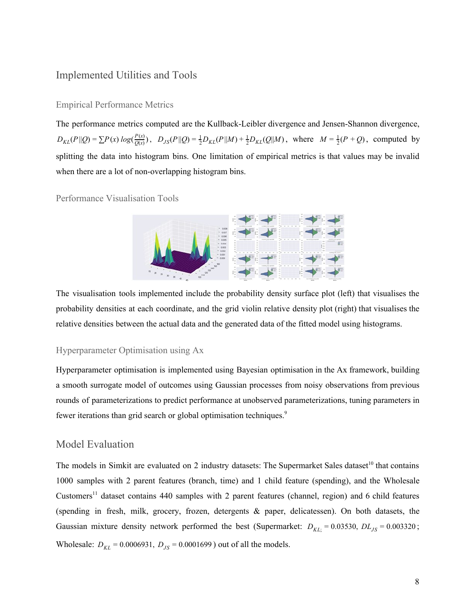### <span id="page-8-0"></span>Implemented Utilities and Tools

#### <span id="page-8-1"></span>Empirical Performance Metrics

The performance metrics computed are the Kullback-Leibler divergence and Jensen-Shannon divergence,  $D_{KL}(P||Q) = \sum P(x) log(\frac{P(x)}{Q(x)})$ ,  $D_{JS}(P||Q) = \frac{1}{2}D_{KL}(P||M) + \frac{1}{2}D_{KL}(Q||M)$ , where  $M = \frac{1}{2}(P + Q)$ , computed by splitting the data into histogram bins. One limitation of empirical metrics is that values may be invalid when there are a lot of non-overlapping histogram bins.

<span id="page-8-2"></span>Performance Visualisation Tools



The visualisation tools implemented include the probability density surface plot (left) that visualises the probability densities at each coordinate, and the grid violin relative density plot (right) that visualises the relative densities between the actual data and the generated data of the fitted model using histograms.

#### <span id="page-8-3"></span>Hyperparameter Optimisation using Ax

Hyperparameter optimisation is implemented using Bayesian optimisation in the Ax framework, building a smooth surrogate model of outcomes using Gaussian processes from noisy observations from previous rounds of parameterizations to predict performance at unobserved parameterizations, tuning parameters in fewer iterations than grid search or global optimisation techniques.<sup>9</sup>

#### <span id="page-8-4"></span>Model Evaluation

The models in Simkit are evaluated on 2 industry datasets: The Supermarket Sales dataset<sup>10</sup> that contains 1000 samples with 2 parent features (branch, time) and 1 child feature (spending), and the Wholesale Customers <sup>11</sup> dataset contains 440 samples with 2 parent features (channel, region) and 6 child features (spending in fresh, milk, grocery, frozen, detergents & paper, delicatessen). On both datasets, the Gaussian mixture density network performed the best (Supermarket:  $D_{KL} = 0.03530$ ,  $DL_{LS} = 0.003320$ ; Wholesale:  $D_{KL} = 0.0006931$ ,  $D_{JS} = 0.0001699$  ) out of all the models.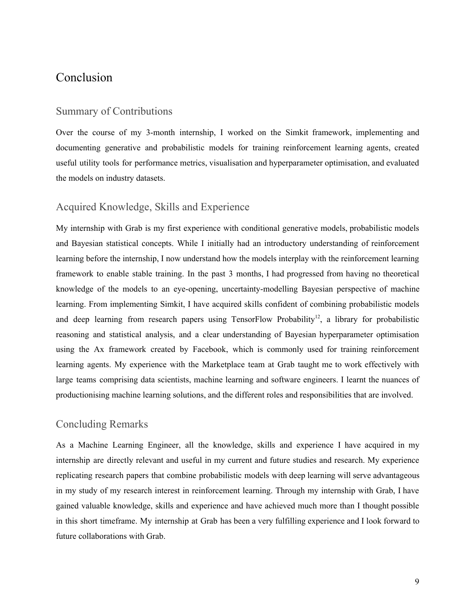# <span id="page-9-0"></span>Conclusion

#### <span id="page-9-1"></span>Summary of Contributions

Over the course of my 3-month internship, I worked on the Simkit framework, implementing and documenting generative and probabilistic models for training reinforcement learning agents, created useful utility tools for performance metrics, visualisation and hyperparameter optimisation, and evaluated the models on industry datasets.

### <span id="page-9-2"></span>Acquired Knowledge, Skills and Experience

My internship with Grab is my first experience with conditional generative models, probabilistic models and Bayesian statistical concepts. While I initially had an introductory understanding of reinforcement learning before the internship, I now understand how the models interplay with the reinforcement learning framework to enable stable training. In the past 3 months, I had progressed from having no theoretical knowledge of the models to an eye-opening, uncertainty-modelling Bayesian perspective of machine learning. From implementing Simkit, I have acquired skills confident of combining probabilistic models and deep learning from research papers using TensorFlow Probability<sup>12</sup>, a library for probabilistic reasoning and statistical analysis, and a clear understanding of Bayesian hyperparameter optimisation using the Ax framework created by Facebook, which is commonly used for training reinforcement learning agents. My experience with the Marketplace team at Grab taught me to work effectively with large teams comprising data scientists, machine learning and software engineers. I learnt the nuances of productionising machine learning solutions, and the different roles and responsibilities that are involved.

#### <span id="page-9-3"></span>Concluding Remarks

As a Machine Learning Engineer, all the knowledge, skills and experience I have acquired in my internship are directly relevant and useful in my current and future studies and research. My experience replicating research papers that combine probabilistic models with deep learning will serve advantageous in my study of my research interest in reinforcement learning. Through my internship with Grab, I have gained valuable knowledge, skills and experience and have achieved much more than I thought possible in this short timeframe. My internship at Grab has been a very fulfilling experience and I look forward to future collaborations with Grab.